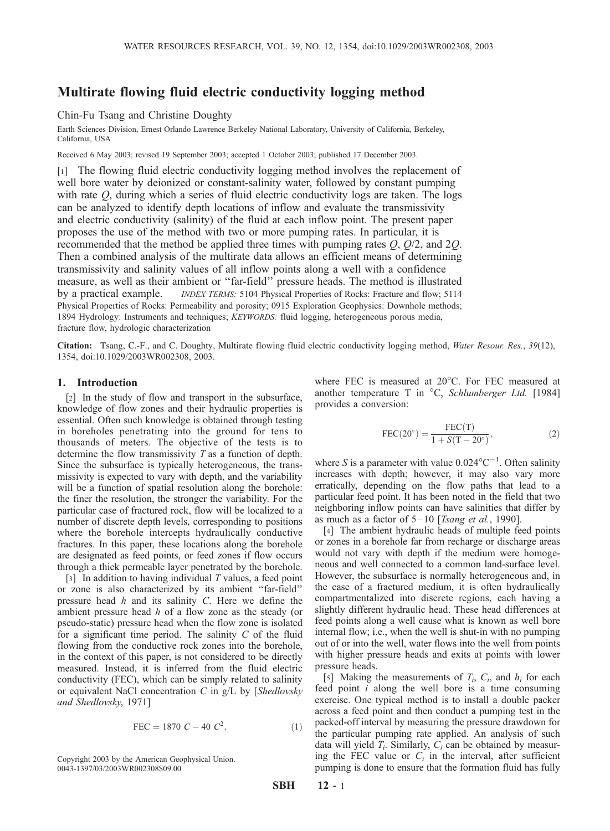# Multirate flowing fluid electric conductivity logging method

Chin-Fu Tsang and Christine Doughty

Earth Sciences Division, Ernest Orlando Lawrence Berkeley National Laboratory, University of California, Berkeley, California, USA

Received 6 May 2003; revised 19 September 2003; accepted 1 October 2003; published 17 December 2003.

[1] The flowing fluid electric conductivity logging method involves the replacement of well bore water by deionized or constant-salinity water, followed by constant pumping with rate  $Q$ , during which a series of fluid electric conductivity logs are taken. The logs can be analyzed to identify depth locations of inflow and evaluate the transmissivity and electric conductivity (salinity) of the fluid at each inflow point. The present paper proposes the use of the method with two or more pumping rates. In particular, it is recommended that the method be applied three times with pumping rates  $Q$ ,  $Q/2$ , and  $2Q$ . Then a combined analysis of the multirate data allows an efficient means of determining transmissivity and salinity values of all inflow points along a well with a confidence measure, as well as their ambient or ''far-field'' pressure heads. The method is illustrated by a practical example. *INDEX TERMS:* 5104 Physical Properties of Rocks: Fracture and flow; 5114 Physical Properties of Rocks: Permeability and porosity; 0915 Exploration Geophysics: Downhole methods; 1894 Hydrology: Instruments and techniques; KEYWORDS: fluid logging, heterogeneous porous media, fracture flow, hydrologic characterization

Citation: Tsang, C.-F., and C. Doughty, Multirate flowing fluid electric conductivity logging method, Water Resour. Res., 39(12), 1354, doi:10.1029/2003WR002308, 2003.

## 1. Introduction

[2] In the study of flow and transport in the subsurface, knowledge of flow zones and their hydraulic properties is essential. Often such knowledge is obtained through testing in boreholes penetrating into the ground for tens to thousands of meters. The objective of the tests is to determine the flow transmissivity T as a function of depth. Since the subsurface is typically heterogeneous, the transmissivity is expected to vary with depth, and the variability will be a function of spatial resolution along the borehole: the finer the resolution, the stronger the variability. For the particular case of fractured rock, flow will be localized to a number of discrete depth levels, corresponding to positions where the borehole intercepts hydraulically conductive fractures. In this paper, these locations along the borehole are designated as feed points, or feed zones if flow occurs through a thick permeable layer penetrated by the borehole.

[3] In addition to having individual T values, a feed point or zone is also characterized by its ambient ''far-field'' pressure head h and its salinity C. Here we define the ambient pressure head h of a flow zone as the steady (or pseudo-static) pressure head when the flow zone is isolated for a significant time period. The salinity  $C$  of the fluid flowing from the conductive rock zones into the borehole, in the context of this paper, is not considered to be directly measured. Instead, it is inferred from the fluid electric conductivity (FEC), which can be simply related to salinity or equivalent NaCl concentration  $C$  in  $g/L$  by [Shedlovsky and Shedlovsky, 1971]

$$
FEC = 1870 \ C - 40 \ C^2,\tag{1}
$$

0043-1397/03/2003WR002308\$09.00

where FEC is measured at 20°C. For FEC measured at another temperature T in  $^{\circ}C$ , *Schlumberger Ltd.* [1984] provides a conversion:

$$
FEC(20^{\circ}) = \frac{FEC(T)}{1 + S(T - 20^{\circ})},
$$
\n(2)

where S is a parameter with value  $0.024^{\circ}$ C<sup>-1</sup>. Often salinity increases with depth; however, it may also vary more erratically, depending on the flow paths that lead to a particular feed point. It has been noted in the field that two neighboring inflow points can have salinities that differ by as much as a factor of  $5-10$  [Tsang et al., 1990].

[4] The ambient hydraulic heads of multiple feed points or zones in a borehole far from recharge or discharge areas would not vary with depth if the medium were homogeneous and well connected to a common land-surface level. However, the subsurface is normally heterogeneous and, in the case of a fractured medium, it is often hydraulically compartmentalized into discrete regions, each having a slightly different hydraulic head. These head differences at feed points along a well cause what is known as well bore internal flow; i.e., when the well is shut-in with no pumping out of or into the well, water flows into the well from points with higher pressure heads and exits at points with lower pressure heads.

[5] Making the measurements of  $T_i$ ,  $C_i$ , and  $h_i$  for each feed point i along the well bore is a time consuming exercise. One typical method is to install a double packer across a feed point and then conduct a pumping test in the packed-off interval by measuring the pressure drawdown for the particular pumping rate applied. An analysis of such data will yield  $T_i$ . Similarly,  $C_i$  can be obtained by measuring the FEC value or  $C_i$  in the interval, after sufficient Copyright 2003 by the American Geophysical Union. The sumpling is done to ensure that the formation fluid has fully  $0.43-1397/03/2003$ WR002308\$09.00<br> $0.43-1397/03/2003$ WR002308\$09.00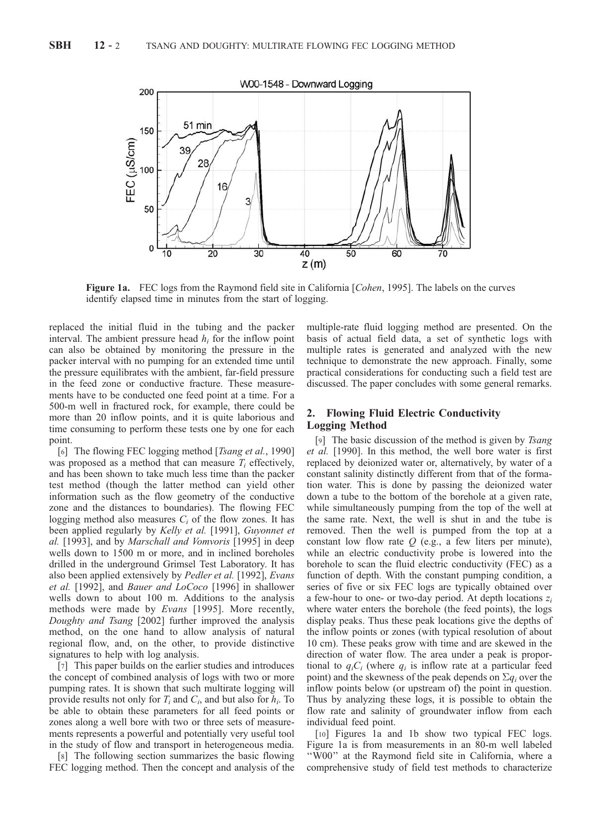

Figure 1a. FEC logs from the Raymond field site in California [*Cohen*, 1995]. The labels on the curves identify elapsed time in minutes from the start of logging.

replaced the initial fluid in the tubing and the packer interval. The ambient pressure head  $h_i$  for the inflow point can also be obtained by monitoring the pressure in the packer interval with no pumping for an extended time until the pressure equilibrates with the ambient, far-field pressure in the feed zone or conductive fracture. These measurements have to be conducted one feed point at a time. For a 500-m well in fractured rock, for example, there could be more than 20 inflow points, and it is quite laborious and time consuming to perform these tests one by one for each point.

[6] The flowing FEC logging method [Tsang et al., 1990] was proposed as a method that can measure  $T_i$  effectively, and has been shown to take much less time than the packer test method (though the latter method can yield other information such as the flow geometry of the conductive zone and the distances to boundaries). The flowing FEC logging method also measures  $C_i$  of the flow zones. It has been applied regularly by Kelly et al. [1991], Guyonnet et al. [1993], and by Marschall and Vomvoris [1995] in deep wells down to 1500 m or more, and in inclined boreholes drilled in the underground Grimsel Test Laboratory. It has also been applied extensively by Pedler et al. [1992], Evans et al. [1992], and Bauer and LoCoco [1996] in shallower wells down to about 100 m. Additions to the analysis methods were made by Evans [1995]. More recently, Doughty and Tsang [2002] further improved the analysis method, on the one hand to allow analysis of natural regional flow, and, on the other, to provide distinctive signatures to help with log analysis.

[7] This paper builds on the earlier studies and introduces the concept of combined analysis of logs with two or more pumping rates. It is shown that such multirate logging will provide results not only for  $T_i$  and  $C_i$ , and but also for  $h_i$ . To be able to obtain these parameters for all feed points or zones along a well bore with two or three sets of measurements represents a powerful and potentially very useful tool in the study of flow and transport in heterogeneous media.

[8] The following section summarizes the basic flowing FEC logging method. Then the concept and analysis of the multiple-rate fluid logging method are presented. On the basis of actual field data, a set of synthetic logs with multiple rates is generated and analyzed with the new technique to demonstrate the new approach. Finally, some practical considerations for conducting such a field test are discussed. The paper concludes with some general remarks.

## 2. Flowing Fluid Electric Conductivity Logging Method

[9] The basic discussion of the method is given by *Tsang* et al. [1990]. In this method, the well bore water is first replaced by deionized water or, alternatively, by water of a constant salinity distinctly different from that of the formation water. This is done by passing the deionized water down a tube to the bottom of the borehole at a given rate, while simultaneously pumping from the top of the well at the same rate. Next, the well is shut in and the tube is removed. Then the well is pumped from the top at a constant low flow rate  $Q$  (e.g., a few liters per minute), while an electric conductivity probe is lowered into the borehole to scan the fluid electric conductivity (FEC) as a function of depth. With the constant pumping condition, a series of five or six FEC logs are typically obtained over a few-hour to one- or two-day period. At depth locations  $z_i$ where water enters the borehole (the feed points), the logs display peaks. Thus these peak locations give the depths of the inflow points or zones (with typical resolution of about 10 cm). These peaks grow with time and are skewed in the direction of water flow. The area under a peak is proportional to  $q_iC_i$  (where  $q_i$  is inflow rate at a particular feed point) and the skewness of the peak depends on  $\Sigma q_i$  over the inflow points below (or upstream of) the point in question. Thus by analyzing these logs, it is possible to obtain the flow rate and salinity of groundwater inflow from each individual feed point.

[10] Figures 1a and 1b show two typical FEC logs. Figure 1a is from measurements in an 80-m well labeled ''W00'' at the Raymond field site in California, where a comprehensive study of field test methods to characterize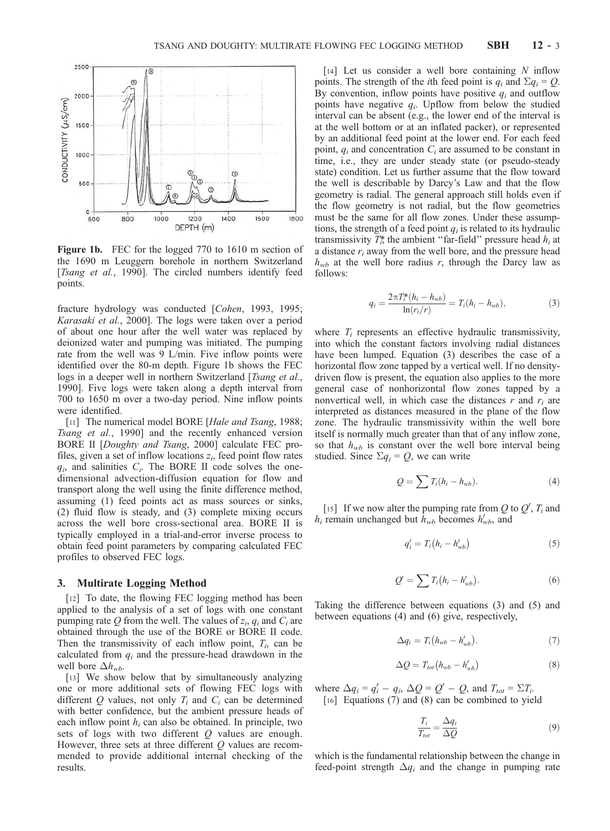

Figure 1b. FEC for the logged 770 to 1610 m section of the 1690 m Leuggern borehole in northern Switzerland [Tsang et al., 1990]. The circled numbers identify feed points.

fracture hydrology was conducted [Cohen, 1993, 1995; Karasaki et al., 2000]. The logs were taken over a period of about one hour after the well water was replaced by deionized water and pumping was initiated. The pumping rate from the well was 9 L/min. Five inflow points were identified over the 80-m depth. Figure 1b shows the FEC logs in a deeper well in northern Switzerland [Tsang et al., 1990]. Five logs were taken along a depth interval from 700 to 1650 m over a two-day period. Nine inflow points were identified.

[11] The numerical model BORE [Hale and Tsang, 1988; Tsang et al., 1990] and the recently enhanced version BORE II [Doughty and Tsang, 2000] calculate FEC profiles, given a set of inflow locations  $z_i$ , feed point flow rates  $q_i$ , and salinities  $C_i$ . The BORE II code solves the onedimensional advection-diffusion equation for flow and transport along the well using the finite difference method, assuming (1) feed points act as mass sources or sinks, (2) fluid flow is steady, and (3) complete mixing occurs across the well bore cross-sectional area. BORE II is typically employed in a trial-and-error inverse process to obtain feed point parameters by comparing calculated FEC profiles to observed FEC logs.

### 3. Multirate Logging Method

[12] To date, the flowing FEC logging method has been applied to the analysis of a set of logs with one constant pumping rate Q from the well. The values of  $z_i$ ,  $q_i$  and  $C_i$  are obtained through the use of the BORE or BORE II code. Then the transmissivity of each inflow point,  $T_i$ , can be calculated from  $q_i$  and the pressure-head drawdown in the well bore  $\Delta h_{wb}$ .

[13] We show below that by simultaneously analyzing one or more additional sets of flowing FEC logs with different  $Q$  values, not only  $T_i$  and  $C_i$  can be determined with better confidence, but the ambient pressure heads of each inflow point  $h_i$  can also be obtained. In principle, two sets of logs with two different Q values are enough. However, three sets at three different  $O$  values are recommended to provide additional internal checking of the results.

[14] Let us consider a well bore containing  $N$  inflow points. The strength of the *i*th feed point is  $q_i$  and  $\sum q_i = Q$ . By convention, inflow points have positive  $q_i$  and outflow points have negative  $q_i$ . Upflow from below the studied interval can be absent (e.g., the lower end of the interval is at the well bottom or at an inflated packer), or represented by an additional feed point at the lower end. For each feed point,  $q_i$  and concentration  $C_i$  are assumed to be constant in time, i.e., they are under steady state (or pseudo-steady state) condition. Let us further assume that the flow toward the well is describable by Darcy's Law and that the flow geometry is radial. The general approach still holds even if the flow geometry is not radial, but the flow geometries must be the same for all flow zones. Under these assumptions, the strength of a feed point  $q_i$  is related to its hydraulic transmissivity  $T_i^*$ , the ambient "far-field" pressure head  $h_i$  at a distance  $r_i$  away from the well bore, and the pressure head  $h_{wb}$  at the well bore radius r, through the Darcy law as follows:

$$
q_i = \frac{2\pi T_i^*(h_i - h_{wb})}{\ln(r_i/r)} = T_i(h_i - h_{wb}),
$$
\n(3)

where  $T_i$  represents an effective hydraulic transmissivity, into which the constant factors involving radial distances have been lumped. Equation (3) describes the case of a horizontal flow zone tapped by a vertical well. If no densitydriven flow is present, the equation also applies to the more general case of nonhorizontal flow zones tapped by a nonvertical well, in which case the distances  $r$  and  $r_i$  are interpreted as distances measured in the plane of the flow zone. The hydraulic transmissivity within the well bore itself is normally much greater than that of any inflow zone, so that  $h_{wb}$  is constant over the well bore interval being studied. Since  $\Sigma q_i = Q$ , we can write

$$
Q = \sum T_i (h_i - h_{wb}). \tag{4}
$$

[15] If we now alter the pumping rate from Q to  $Q'$ ,  $T_i$  and  $h_i$  remain unchanged but  $\bar{h}_{wb}$  becomes  $h'_{wb}$ , and

$$
q_i' = T_i \left( h_i - h_{wb}' \right) \tag{5}
$$

$$
Q' = \sum T_i (h_i - h'_{wb}). \tag{6}
$$

Taking the difference between equations (3) and (5) and between equations (4) and (6) give, respectively,

$$
\Delta q_i = T_i \big( h_{wb} - h'_{wb} \big). \tag{7}
$$

$$
\Delta Q = T_{tot} (h_{wb} - h'_{wb}) \tag{8}
$$

where  $\Delta q_i = q'_i - q_i$ ,  $\Delta Q = Q' - Q$ , and  $T_{tot} = \Sigma T_i$ . [16] Equations (7) and (8) can be combined to yield

$$
\frac{T_i}{T_{tot}} = \frac{\Delta q_i}{\Delta Q} \tag{9}
$$

which is the fundamental relationship between the change in feed-point strength  $\Delta q_i$  and the change in pumping rate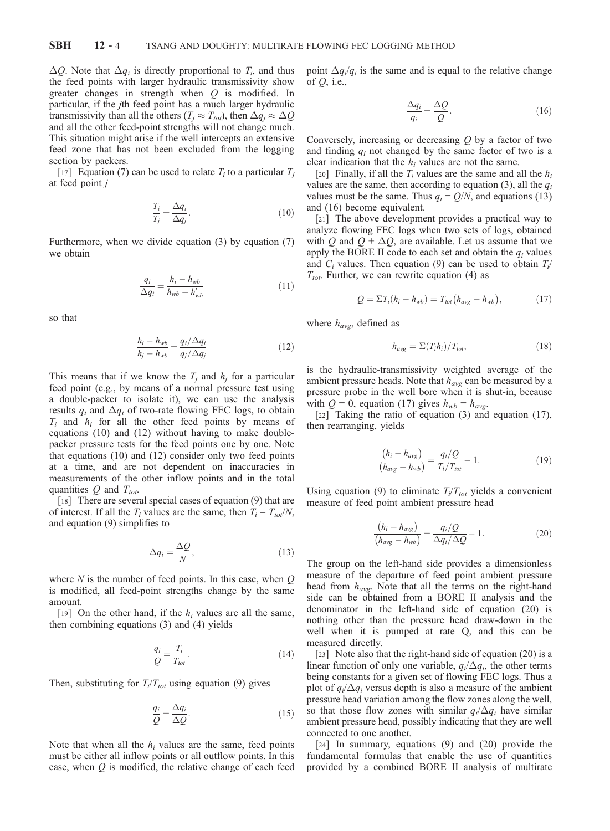$\Delta Q$ . Note that  $\Delta q_i$  is directly proportional to  $T_i$ , and thus the feed points with larger hydraulic transmissivity show greater changes in strength when Q is modified. In particular, if the jth feed point has a much larger hydraulic transmissivity than all the others ( $T_j \approx T_{tot}$ ), then  $\Delta q_j \approx \Delta Q$ and all the other feed-point strengths will not change much. This situation might arise if the well intercepts an extensive feed zone that has not been excluded from the logging section by packers.

[17] Equation (7) can be used to relate  $T_i$  to a particular  $T_i$ at feed point j

$$
\frac{T_i}{T_j} = \frac{\Delta q_i}{\Delta q_j}.\tag{10}
$$

Furthermore, when we divide equation (3) by equation (7) we obtain

$$
\frac{q_i}{\Delta q_i} = \frac{h_i - h_{wb}}{h_{wb} - h'_{wb}}
$$
(11)

so that

$$
\frac{h_i - h_{wb}}{h_j - h_{wb}} = \frac{q_i / \Delta q_i}{q_j / \Delta q_j} \tag{12}
$$

This means that if we know the  $T_i$  and  $h_i$  for a particular feed point (e.g., by means of a normal pressure test using a double-packer to isolate it), we can use the analysis results  $q_i$  and  $\Delta q_i$  of two-rate flowing FEC logs, to obtain  $T_i$  and  $h_i$  for all the other feed points by means of equations (10) and (12) without having to make doublepacker pressure tests for the feed points one by one. Note that equations (10) and (12) consider only two feed points at a time, and are not dependent on inaccuracies in measurements of the other inflow points and in the total quantities  $Q$  and  $T_{tot}$ .

[18] There are several special cases of equation (9) that are of interest. If all the  $T_i$  values are the same, then  $T_i = T_{tot}/N$ , and equation (9) simplifies to

$$
\Delta q_i = \frac{\Delta Q}{N},\tag{13}
$$

where  $N$  is the number of feed points. In this case, when  $Q$ is modified, all feed-point strengths change by the same amount.

[19] On the other hand, if the  $h_i$  values are all the same, then combining equations (3) and (4) yields

$$
\frac{q_i}{Q} = \frac{T_i}{T_{tot}}.\tag{14}
$$

Then, substituting for  $T_i/T_{tot}$  using equation (9) gives

$$
\frac{q_i}{Q} = \frac{\Delta q_i}{\Delta Q}.\tag{15}
$$

Note that when all the  $h_i$  values are the same, feed points must be either all inflow points or all outflow points. In this case, when  $Q$  is modified, the relative change of each feed

point  $\Delta q_i/q_i$  is the same and is equal to the relative change of  $Q$ , i.e.,

$$
\frac{\Delta q_i}{q_i} = \frac{\Delta Q}{Q}.\tag{16}
$$

Conversely, increasing or decreasing  $Q$  by a factor of two and finding  $q_i$  not changed by the same factor of two is a clear indication that the  $h_i$  values are not the same.

[20] Finally, if all the  $T_i$  values are the same and all the  $h_i$ values are the same, then according to equation (3), all the  $q_i$ values must be the same. Thus  $q_i = Q/N$ , and equations (13) and (16) become equivalent.

[21] The above development provides a practical way to analyze flowing FEC logs when two sets of logs, obtained with Q and  $Q + \Delta Q$ , are available. Let us assume that we apply the BORE II code to each set and obtain the  $q_i$  values and  $C_i$  values. Then equation (9) can be used to obtain  $T_i$  $T_{tot}$ . Further, we can rewrite equation (4) as

$$
Q = \Sigma T_i (h_i - h_{wb}) = T_{tot} (h_{avg} - h_{wb}), \qquad (17)
$$

where  $h_{\alpha\nu\rho}$ , defined as

$$
h_{avg} = \Sigma (T_i h_i) / T_{tot}, \qquad (18)
$$

is the hydraulic-transmissivity weighted average of the ambient pressure heads. Note that  $h_{avg}$  can be measured by a pressure probe in the well bore when it is shut-in, because with  $Q = 0$ , equation (17) gives  $h_{wb} = h_{avg}$ .

[22] Taking the ratio of equation (3) and equation (17), then rearranging, yields

$$
\frac{(h_i - h_{avg})}{(h_{avg} - h_{wb})} = \frac{q_i/Q}{T_i/T_{tot}} - 1.
$$
 (19)

Using equation (9) to eliminate  $T_i/T_{tot}$  yields a convenient measure of feed point ambient pressure head

$$
\frac{(h_i - h_{avg})}{(h_{avg} - h_{wb})} = \frac{q_i/Q}{\Delta q_i/\Delta Q} - 1.
$$
 (20)

The group on the left-hand side provides a dimensionless measure of the departure of feed point ambient pressure head from  $h_{avg}$ . Note that all the terms on the right-hand side can be obtained from a BORE II analysis and the denominator in the left-hand side of equation (20) is nothing other than the pressure head draw-down in the well when it is pumped at rate Q, and this can be measured directly.

[23] Note also that the right-hand side of equation (20) is a linear function of only one variable,  $q_i/\Delta q_i$ , the other terms being constants for a given set of flowing FEC logs. Thus a plot of  $q_i/\Delta q_i$  versus depth is also a measure of the ambient pressure head variation among the flow zones along the well, so that those flow zones with similar  $q_i/\Delta q_i$  have similar ambient pressure head, possibly indicating that they are well connected to one another.

[24] In summary, equations (9) and (20) provide the fundamental formulas that enable the use of quantities provided by a combined BORE II analysis of multirate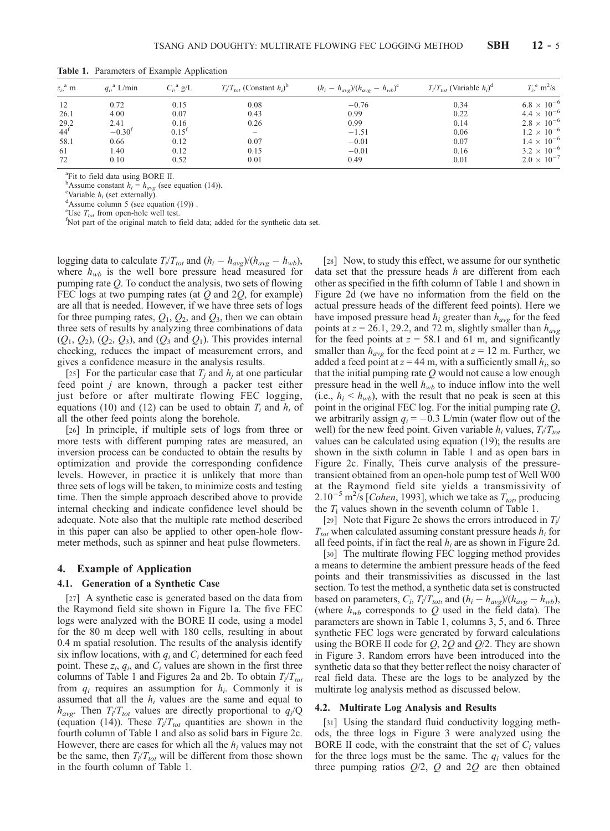| $z_i$ <sup>a</sup> m | $q_i$ <sup>a</sup> L/min | $C_i$ <sup>a</sup> g/L | $T_i/T_{tot}$ (Constant $h_i$ ) <sup>b</sup> | $(h_i - h_{avg})/(h_{avg} - h_{wb})^c$ | $T_i/T_{tot}$ (Variable $h_i$ ) <sup>d</sup> | $T_i$ <sup>e</sup> m <sup>2</sup> /s |
|----------------------|--------------------------|------------------------|----------------------------------------------|----------------------------------------|----------------------------------------------|--------------------------------------|
| 12                   | 0.72                     | 0.15                   | 0.08                                         | $-0.76$                                | 0.34                                         | $6.8 \times 10^{-6}$                 |
| 26.1                 | 4.00                     | 0.07                   | 0.43                                         | 0.99                                   | 0.22                                         | $4.4 \times 10^{-6}$                 |
| 29.2                 | 2.41                     | 0.16                   | 0.26                                         | 0.99                                   | 0.14                                         | $2.8 \times 10^{-6}$                 |
| $44^{\mathrm{f}}$    | $-0.30f$                 | $0.15^{f}$             | $\overline{\phantom{a}}$                     | $-1.51$                                | 0.06                                         | $1.2 \times 10^{-6}$                 |
| 58.1                 | 0.66                     | 0.12                   | 0.07                                         | $-0.01$                                | 0.07                                         | $1.4 \times 10^{-6}$                 |
| 61                   | 1.40                     | 0.12                   | 0.15                                         | $-0.01$                                | 0.16                                         | $3.2 \times 10^{-6}$                 |
| 72                   | 0.10                     | 0.52                   | 0.01                                         | 0.49                                   | 0.01                                         | $2.0 \times 10^{-7}$                 |

Table 1. Parameters of Example Application

a Fit to field data using BORE II.

<sup>b</sup>Assume constant  $h_i = h_{avg}$  (see equation (14)).

<sup>c</sup>Variable  $h_i$  (set externally).

 $\text{d}$ Assume column 5 (see equation (19)).

<sup>e</sup>Use  $T_{tot}$  from open-hole well test. <sup>f</sup>Not part of the original match to field data; added for the synthetic data set.

logging data to calculate  $T_i/T_{tot}$  and  $(h_i - h_{avg})/(h_{avg} - h_{wb})$ , where  $h_{wb}$  is the well bore pressure head measured for pumping rate  $Q$ . To conduct the analysis, two sets of flowing FEC logs at two pumping rates (at  $Q$  and  $2Q$ , for example) are all that is needed. However, if we have three sets of logs for three pumping rates,  $Q_1$ ,  $Q_2$ , and  $Q_3$ , then we can obtain three sets of results by analyzing three combinations of data  $(Q_1, Q_2), (Q_2, Q_3)$ , and  $(Q_3$  and  $Q_1$ ). This provides internal checking, reduces the impact of measurement errors, and gives a confidence measure in the analysis results.

[25] For the particular case that  $T_i$  and  $h_i$  at one particular feed point j are known, through a packer test either just before or after multirate flowing FEC logging, equations (10) and (12) can be used to obtain  $T_i$  and  $h_i$  of all the other feed points along the borehole.

[26] In principle, if multiple sets of logs from three or more tests with different pumping rates are measured, an inversion process can be conducted to obtain the results by optimization and provide the corresponding confidence levels. However, in practice it is unlikely that more than three sets of logs will be taken, to minimize costs and testing time. Then the simple approach described above to provide internal checking and indicate confidence level should be adequate. Note also that the multiple rate method described in this paper can also be applied to other open-hole flowmeter methods, such as spinner and heat pulse flowmeters.

#### 4. Example of Application

#### 4.1. Generation of a Synthetic Case

[27] A synthetic case is generated based on the data from the Raymond field site shown in Figure 1a. The five FEC logs were analyzed with the BORE II code, using a model for the 80 m deep well with 180 cells, resulting in about 0.4 m spatial resolution. The results of the analysis identify six inflow locations, with  $q_i$  and  $C_i$  determined for each feed point. These  $z_i$ ,  $q_i$ , and  $C_i$  values are shown in the first three columns of Table 1 and Figures 2a and 2b. To obtain  $T_i/T_{tot}$ from  $q_i$  requires an assumption for  $h_i$ . Commonly it is assumed that all the  $h_i$  values are the same and equal to  $h_{\alpha\nu\rho}$ . Then  $T_i/T_{tot}$  values are directly proportional to  $q_i/Q$ (equation (14)). These  $T_i/T_{tot}$  quantities are shown in the fourth column of Table 1 and also as solid bars in Figure 2c. However, there are cases for which all the  $h_i$  values may not be the same, then  $T_i/T_{tot}$  will be different from those shown in the fourth column of Table 1.

[28] Now, to study this effect, we assume for our synthetic data set that the pressure heads  $h$  are different from each other as specified in the fifth column of Table 1 and shown in Figure 2d (we have no information from the field on the actual pressure heads of the different feed points). Here we have imposed pressure head  $h_i$  greater than  $h_{avg}$  for the feed points at  $z = 26.1$ , 29.2, and 72 m, slightly smaller than  $h_{\alpha\nu\alpha}$ for the feed points at  $z = 58.1$  and 61 m, and significantly smaller than  $h_{avg}$  for the feed point at  $z = 12$  m. Further, we added a feed point at  $z = 44$  m, with a sufficiently small  $h_i$ , so that the initial pumping rate  $Q$  would not cause a low enough pressure head in the well  $h_{wb}$  to induce inflow into the well (i.e.,  $h_i < h_{wb}$ ), with the result that no peak is seen at this point in the original FEC log. For the initial pumping rate Q, we arbitrarily assign  $q_i = -0.3$  L/min (water flow out of the well) for the new feed point. Given variable  $h_i$  values,  $T_i/T_{tot}$ values can be calculated using equation (19); the results are shown in the sixth column in Table 1 and as open bars in Figure 2c. Finally, Theis curve analysis of the pressuretransient obtained from an open-hole pump test of Well W00 at the Raymond field site yields a transmissivity of  $2.10^{-5}$  m<sup>2</sup>/s [*Cohen*, 1993], which we take as  $T_{tot}$ , producing the  $T_i$  values shown in the seventh column of Table 1.

[29] Note that Figure 2c shows the errors introduced in  $T_i$  $T_{tot}$  when calculated assuming constant pressure heads  $h_i$  for all feed points, if in fact the real  $h_i$  are as shown in Figure 2d.

[30] The multirate flowing FEC logging method provides a means to determine the ambient pressure heads of the feed points and their transmissivities as discussed in the last section. To test the method, a synthetic data set is constructed based on parameters,  $C_i$ ,  $T_i/T_{tot}$ , and  $(h_i - h_{avg})/(h_{avg} - h_{wb})$ , (where  $h_{wb}$  corresponds to Q used in the field data). The parameters are shown in Table 1, columns 3, 5, and 6. Three synthetic FEC logs were generated by forward calculations using the BORE II code for  $Q$ ,  $2Q$  and  $Q/2$ . They are shown in Figure 3. Random errors have been introduced into the synthetic data so that they better reflect the noisy character of real field data. These are the logs to be analyzed by the multirate log analysis method as discussed below.

### 4.2. Multirate Log Analysis and Results

[31] Using the standard fluid conductivity logging methods, the three logs in Figure 3 were analyzed using the BORE II code, with the constraint that the set of  $C_i$  values for the three logs must be the same. The  $q_i$  values for the three pumping ratios  $Q/2$ , Q and 2Q are then obtained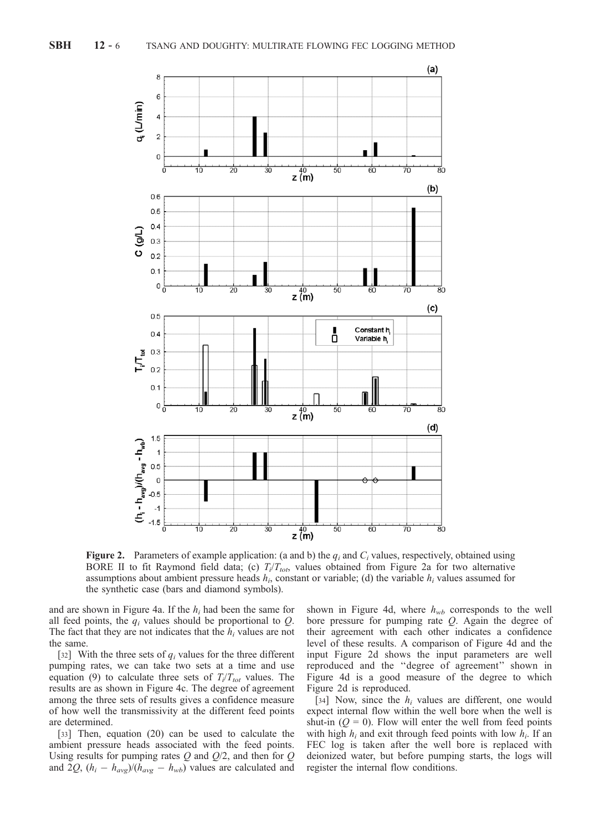

Figure 2. Parameters of example application: (a and b) the  $q_i$  and  $C_i$  values, respectively, obtained using BORE II to fit Raymond field data; (c)  $T_i/T_{tot}$ , values obtained from Figure 2a for two alternative assumptions about ambient pressure heads  $h_i$ , constant or variable; (d) the variable  $h_i$  values assumed for the synthetic case (bars and diamond symbols).

and are shown in Figure 4a. If the  $h_i$  had been the same for all feed points, the  $q_i$  values should be proportional to  $Q$ . The fact that they are not indicates that the  $h_i$  values are not the same.

[32] With the three sets of  $q_i$  values for the three different pumping rates, we can take two sets at a time and use equation (9) to calculate three sets of  $T_i/T_{tot}$  values. The results are as shown in Figure 4c. The degree of agreement among the three sets of results gives a confidence measure of how well the transmissivity at the different feed points are determined.

[33] Then, equation (20) can be used to calculate the ambient pressure heads associated with the feed points. Using results for pumping rates  $Q$  and  $Q/2$ , and then for  $Q$ and 2Q,  $(h_i - h_{avg})/(h_{avg} - h_{wb})$  values are calculated and

shown in Figure 4d, where  $h_{wb}$  corresponds to the well bore pressure for pumping rate  $Q$ . Again the degree of their agreement with each other indicates a confidence level of these results. A comparison of Figure 4d and the input Figure 2d shows the input parameters are well reproduced and the ''degree of agreement'' shown in Figure 4d is a good measure of the degree to which Figure 2d is reproduced.

[34] Now, since the  $h_i$  values are different, one would expect internal flow within the well bore when the well is shut-in  $(Q = 0)$ . Flow will enter the well from feed points with high  $h_i$  and exit through feed points with low  $h_i$ . If an FEC log is taken after the well bore is replaced with deionized water, but before pumping starts, the logs will register the internal flow conditions.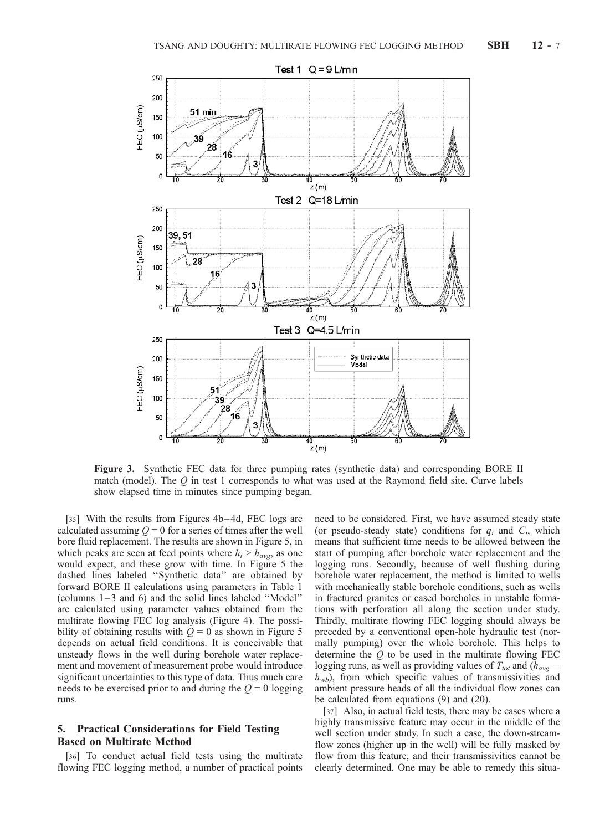

Figure 3. Synthetic FEC data for three pumping rates (synthetic data) and corresponding BORE II match (model). The  $Q$  in test 1 corresponds to what was used at the Raymond field site. Curve labels show elapsed time in minutes since pumping began.

[35] With the results from Figures 4b–4d, FEC logs are calculated assuming  $Q = 0$  for a series of times after the well bore fluid replacement. The results are shown in Figure 5, in which peaks are seen at feed points where  $h_i > h_{avg}$ , as one would expect, and these grow with time. In Figure 5 the dashed lines labeled ''Synthetic data'' are obtained by forward BORE II calculations using parameters in Table 1 (columns 1 – 3 and 6) and the solid lines labeled ''Model'' are calculated using parameter values obtained from the multirate flowing FEC log analysis (Figure 4). The possibility of obtaining results with  $Q = 0$  as shown in Figure 5 depends on actual field conditions. It is conceivable that unsteady flows in the well during borehole water replacement and movement of measurement probe would introduce significant uncertainties to this type of data. Thus much care needs to be exercised prior to and during the  $Q = 0$  logging runs.

## 5. Practical Considerations for Field Testing Based on Multirate Method

[36] To conduct actual field tests using the multirate flowing FEC logging method, a number of practical points need to be considered. First, we have assumed steady state (or pseudo-steady state) conditions for  $q_i$  and  $C_i$ , which means that sufficient time needs to be allowed between the start of pumping after borehole water replacement and the logging runs. Secondly, because of well flushing during borehole water replacement, the method is limited to wells with mechanically stable borehole conditions, such as wells in fractured granites or cased boreholes in unstable formations with perforation all along the section under study. Thirdly, multirate flowing FEC logging should always be preceded by a conventional open-hole hydraulic test (normally pumping) over the whole borehole. This helps to determine the  $Q$  to be used in the multirate flowing FEC logging runs, as well as providing values of  $T_{tot}$  and ( $h_{avg}$  –  $h_{wb}$ ), from which specific values of transmissivities and ambient pressure heads of all the individual flow zones can be calculated from equations (9) and (20).

[37] Also, in actual field tests, there may be cases where a highly transmissive feature may occur in the middle of the well section under study. In such a case, the down-streamflow zones (higher up in the well) will be fully masked by flow from this feature, and their transmissivities cannot be clearly determined. One may be able to remedy this situa-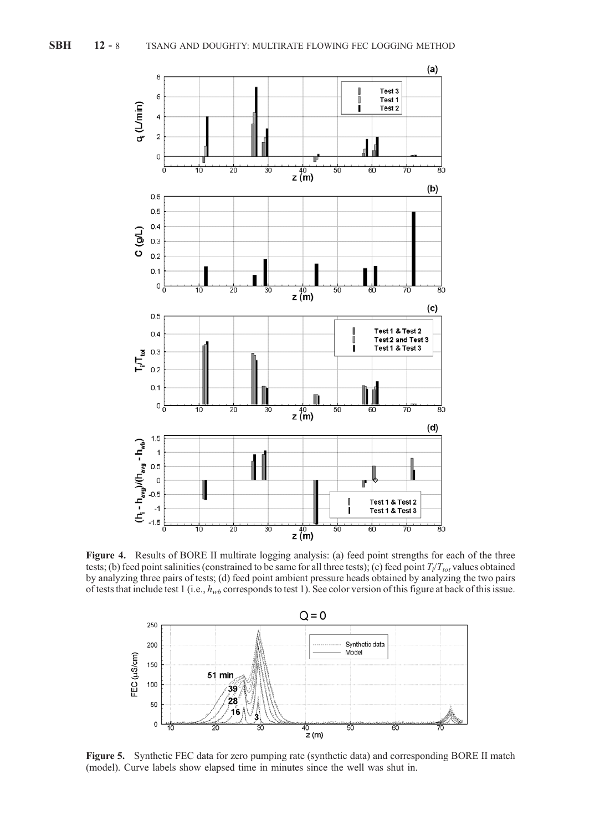

Figure 4. Results of BORE II multirate logging analysis: (a) feed point strengths for each of the three tests; (b) feed point salinities (constrained to be same for all three tests); (c) feed point  $T_i/T_{tot}$  values obtained by analyzing three pairs of tests; (d) feed point ambient pressure heads obtained by analyzing the two pairs of tests that include test 1 (i.e.,  $h_{wb}$  corresponds to test 1). See color version of this figure at back of this issue.



Figure 5. Synthetic FEC data for zero pumping rate (synthetic data) and corresponding BORE II match (model). Curve labels show elapsed time in minutes since the well was shut in.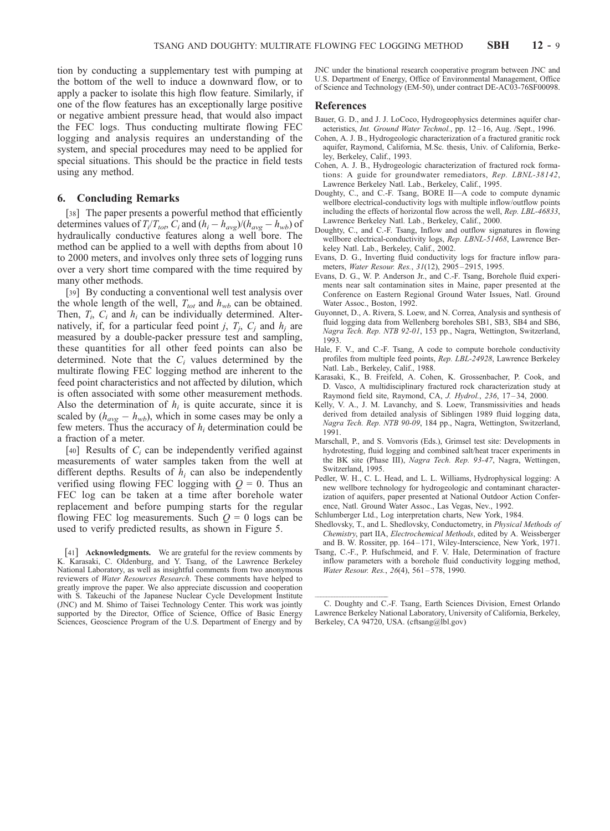tion by conducting a supplementary test with pumping at the bottom of the well to induce a downward flow, or to apply a packer to isolate this high flow feature. Similarly, if one of the flow features has an exceptionally large positive or negative ambient pressure head, that would also impact the FEC logs. Thus conducting multirate flowing FEC logging and analysis requires an understanding of the system, and special procedures may need to be applied for special situations. This should be the practice in field tests using any method.

## 6. Concluding Remarks

[38] The paper presents a powerful method that efficiently determines values of  $T_i/T_{tot}$ ,  $C_i$  and  $(h_i - h_{avg})/(h_{avg} - h_{wb})$  of hydraulically conductive features along a well bore. The method can be applied to a well with depths from about 10 to 2000 meters, and involves only three sets of logging runs over a very short time compared with the time required by many other methods.

[39] By conducting a conventional well test analysis over the whole length of the well,  $T_{tot}$  and  $h_{wb}$  can be obtained. Then,  $T_i$ ,  $C_i$  and  $h_i$  can be individually determined. Alternatively, if, for a particular feed point j,  $T_i$ ,  $C_i$  and  $h_i$  are measured by a double-packer pressure test and sampling, these quantities for all other feed points can also be determined. Note that the  $C<sub>i</sub>$  values determined by the multirate flowing FEC logging method are inherent to the feed point characteristics and not affected by dilution, which is often associated with some other measurement methods. Also the determination of  $h_i$  is quite accurate, since it is scaled by  $(h_{avg} - h_{wb})$ , which in some cases may be only a few meters. Thus the accuracy of  $h_i$  determination could be a fraction of a meter.

[40] Results of  $C_i$  can be independently verified against measurements of water samples taken from the well at different depths. Results of  $h_i$  can also be independently verified using flowing FEC logging with  $Q = 0$ . Thus an FEC log can be taken at a time after borehole water replacement and before pumping starts for the regular flowing FEC log measurements. Such  $Q = 0$  logs can be used to verify predicted results, as shown in Figure 5.

[41] **Acknowledgments.** We are grateful for the review comments by K. Karasaki, C. Oldenburg, and Y. Tsang, of the Lawrence Berkeley National Laboratory, as well as insightful comments from two anonymous reviewers of Water Resources Research. These comments have helped to greatly improve the paper. We also appreciate discussion and cooperation with S. Takeuchi of the Japanese Nuclear Cycle Development Institute (JNC) and M. Shimo of Taisei Technology Center. This work was jointly supported by the Director, Office of Science, Office of Basic Energy Sciences, Geoscience Program of the U.S. Department of Energy and by

JNC under the binational research cooperative program between JNC and U.S. Department of Energy, Office of Environmental Management, Office of Science and Technology (EM-50), under contract DE-AC03-76SF00098.

#### References

- Bauer, G. D., and J. J. LoCoco, Hydrogeophysics determines aquifer characteristics, Int. Ground Water Technol., pp. 12-16, Aug. /Sept., 1996.
- Cohen, A. J. B., Hydrogeologic characterization of a fractured granitic rock aquifer, Raymond, California, M.Sc. thesis, Univ. of California, Berkeley, Berkeley, Calif., 1993.
- Cohen, A. J. B., Hydrogeologic characterization of fractured rock formations: A guide for groundwater remediators, Rep. LBNL-38142, Lawrence Berkeley Natl. Lab., Berkeley, Calif., 1995.
- Doughty, C., and C.-F. Tsang, BORE II—A code to compute dynamic wellbore electrical-conductivity logs with multiple inflow/outflow points including the effects of horizontal flow across the well, Rep. LBL-46833, Lawrence Berkeley Natl. Lab., Berkeley, Calif., 2000.
- Doughty, C., and C.-F. Tsang, Inflow and outflow signatures in flowing wellbore electrical-conductivity logs, Rep. LBNL-51468, Lawrence Berkeley Natl. Lab., Berkeley, Calif., 2002.
- Evans, D. G., Inverting fluid conductivity logs for fracture inflow parameters, Water Resour. Res., 31(12), 2905 – 2915, 1995.
- Evans, D. G., W. P. Anderson Jr., and C.-F. Tsang, Borehole fluid experiments near salt contamination sites in Maine, paper presented at the Conference on Eastern Regional Ground Water Issues, Natl. Ground Water Assoc., Boston, 1992.
- Guyonnet, D., A. Rivera, S. Loew, and N. Correa, Analysis and synthesis of fluid logging data from Wellenberg boreholes SB1, SB3, SB4 and SB6, Nagra Tech. Rep. NTB 92-01, 153 pp., Nagra, Wettington, Switzerland, 1993.
- Hale, F. V., and C.-F. Tsang, A code to compute borehole conductivity profiles from multiple feed points, Rep. LBL-24928, Lawrence Berkeley Natl. Lab., Berkeley, Calif., 1988.
- Karasaki, K., B. Freifeld, A. Cohen, K. Grossenbacher, P. Cook, and D. Vasco, A multidisciplinary fractured rock characterization study at Raymond field site, Raymond, CA, J. Hydrol., 236, 17-34, 2000.
- Kelly, V. A., J. M. Lavanchy, and S. Loew, Transmissivities and heads derived from detailed analysis of Siblingen 1989 fluid logging data, Nagra Tech. Rep. NTB 90-09, 184 pp., Nagra, Wettington, Switzerland, 1991.
- Marschall, P., and S. Vomvoris (Eds.), Grimsel test site: Developments in hydrotesting, fluid logging and combined salt/heat tracer experiments in the BK site (Phase III), Nagra Tech. Rep. 93-47, Nagra, Wettingen, Switzerland, 1995.
- Pedler, W. H., C. L. Head, and L. L. Williams, Hydrophysical logging: A new wellbore technology for hydrogeologic and contaminant characterization of aquifers, paper presented at National Outdoor Action Conference, Natl. Ground Water Assoc., Las Vegas, Nev., 1992.
- Schlumberger Ltd., Log interpretation charts, New York, 1984.
- Shedlovsky, T., and L. Shedlovsky, Conductometry, in Physical Methods of Chemistry, part IIA, Electrochemical Methods, edited by A. Weissberger and B. W. Rossiter, pp. 164 – 171, Wiley-Interscience, New York, 1971.
- Tsang, C.-F., P. Hufschmeid, and F. V. Hale, Determination of fracture inflow parameters with a borehole fluid conductivity logging method, Water Resour. Res., 26(4), 561-578, 1990.

<sup>-</sup>-C. Doughty and C.-F. Tsang, Earth Sciences Division, Ernest Orlando Lawrence Berkeley National Laboratory, University of California, Berkeley, Berkeley, CA 94720, USA. (cftsang@lbl.gov)